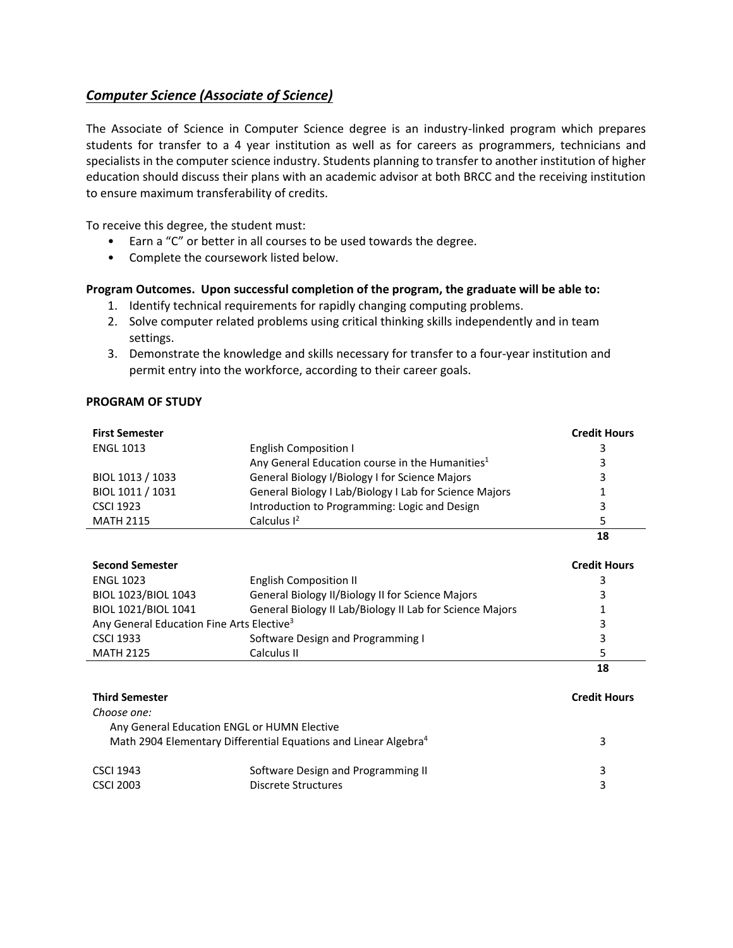## <span id="page-0-0"></span>*[Computer Science \(Associate of Science\)](#page-0-0)*

The Associate of Science in Computer Science degree is an industry-linked program which prepares students for transfer to a 4 year institution as well as for careers as programmers, technicians and specialists in the computer science industry. Students planning to transfer to another institution of higher education should discuss their plans with an academic advisor at both BRCC and the receiving institution to ensure maximum transferability of credits.

To receive this degree, the student must:

- Earn a "C" or better in all courses to be used towards the degree.
- Complete the coursework listed below.

## **Program Outcomes. Upon successful completion of the program, the graduate will be able to:**

- 1. Identify technical requirements for rapidly changing computing problems.
- 2. Solve computer related problems using critical thinking skills independently and in team settings.
- 3. Demonstrate the knowledge and skills necessary for transfer to a four-year institution and permit entry into the workforce, according to their career goals.

## **PROGRAM OF STUDY**

| <b>First Semester</b>                                                       |                                                             | <b>Credit Hours</b> |  |
|-----------------------------------------------------------------------------|-------------------------------------------------------------|---------------------|--|
| <b>ENGL 1013</b>                                                            | <b>English Composition I</b>                                | 3                   |  |
|                                                                             | Any General Education course in the Humanities <sup>1</sup> | 3                   |  |
| BIOL 1013 / 1033                                                            | General Biology I/Biology I for Science Majors              | 3                   |  |
| BIOL 1011 / 1031                                                            | General Biology I Lab/Biology I Lab for Science Majors      |                     |  |
| <b>CSCI 1923</b>                                                            | Introduction to Programming: Logic and Design               | 3                   |  |
| <b>MATH 2115</b>                                                            | Calculus $I2$                                               | 5                   |  |
|                                                                             |                                                             | 18                  |  |
| <b>Second Semester</b>                                                      |                                                             | <b>Credit Hours</b> |  |
| <b>ENGL 1023</b>                                                            | <b>English Composition II</b>                               | 3                   |  |
| BIOL 1023/BIOL 1043                                                         | General Biology II/Biology II for Science Majors            | 3                   |  |
| BIOL 1021/BIOL 1041                                                         | General Biology II Lab/Biology II Lab for Science Majors    |                     |  |
| Any General Education Fine Arts Elective <sup>3</sup>                       | 3                                                           |                     |  |
| <b>CSCI 1933</b>                                                            | Software Design and Programming I                           | 3                   |  |
| <b>MATH 2125</b>                                                            | Calculus II                                                 | 5                   |  |
|                                                                             |                                                             | 18                  |  |
| <b>Third Semester</b>                                                       |                                                             | <b>Credit Hours</b> |  |
| Choose one:                                                                 |                                                             |                     |  |
| Any General Education ENGL or HUMN Elective                                 |                                                             |                     |  |
| Math 2904 Elementary Differential Equations and Linear Algebra <sup>4</sup> | 3                                                           |                     |  |

| <b>CSCI 1943</b> | Software Design and Programming II |  |
|------------------|------------------------------------|--|
| <b>CSCI 2003</b> | Discrete Structures                |  |